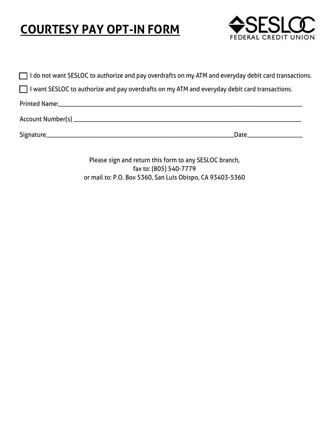# **COURTESY PAY OPT-IN FORM**



| $\Box$ I do not want SESLOC to authorize and pay overdrafts on my ATM and everyday debit card transactions. |
|-------------------------------------------------------------------------------------------------------------|
| $\Box$ I want SESLOC to authorize and pay overdrafts on my ATM and everyday debit card transactions.        |
|                                                                                                             |
|                                                                                                             |
|                                                                                                             |

Please sign and return this form to any SESLOC branch, fax to: (805) 540-7779 or mail to: P.O. Box 5360, San Luis Obispo, CA 93403-5360